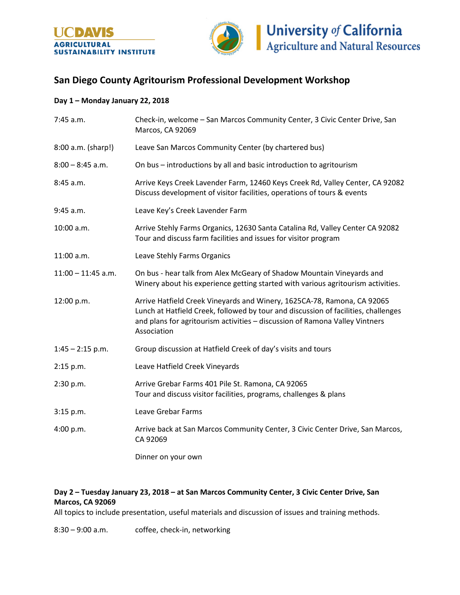



## **San Diego County Agritourism Professional Development Workshop**

## **Day 1 – Monday January 22, 2018**

| 7:45 a.m.            | Check-in, welcome - San Marcos Community Center, 3 Civic Center Drive, San<br>Marcos, CA 92069                                                                                                                                                              |
|----------------------|-------------------------------------------------------------------------------------------------------------------------------------------------------------------------------------------------------------------------------------------------------------|
| 8:00 a.m. (sharp!)   | Leave San Marcos Community Center (by chartered bus)                                                                                                                                                                                                        |
| $8:00 - 8:45$ a.m.   | On bus - introductions by all and basic introduction to agritourism                                                                                                                                                                                         |
| 8:45 a.m.            | Arrive Keys Creek Lavender Farm, 12460 Keys Creek Rd, Valley Center, CA 92082<br>Discuss development of visitor facilities, operations of tours & events                                                                                                    |
| 9:45 a.m.            | Leave Key's Creek Lavender Farm                                                                                                                                                                                                                             |
| 10:00 a.m.           | Arrive Stehly Farms Organics, 12630 Santa Catalina Rd, Valley Center CA 92082<br>Tour and discuss farm facilities and issues for visitor program                                                                                                            |
| $11:00$ a.m.         | Leave Stehly Farms Organics                                                                                                                                                                                                                                 |
| $11:00 - 11:45$ a.m. | On bus - hear talk from Alex McGeary of Shadow Mountain Vineyards and<br>Winery about his experience getting started with various agritourism activities.                                                                                                   |
| 12:00 p.m.           | Arrive Hatfield Creek Vineyards and Winery, 1625CA-78, Ramona, CA 92065<br>Lunch at Hatfield Creek, followed by tour and discussion of facilities, challenges<br>and plans for agritourism activities - discussion of Ramona Valley Vintners<br>Association |
| $1:45 - 2:15$ p.m.   | Group discussion at Hatfield Creek of day's visits and tours                                                                                                                                                                                                |
| 2:15 p.m.            | Leave Hatfield Creek Vineyards                                                                                                                                                                                                                              |
| 2:30 p.m.            | Arrive Grebar Farms 401 Pile St. Ramona, CA 92065<br>Tour and discuss visitor facilities, programs, challenges & plans                                                                                                                                      |
| 3:15 p.m.            | Leave Grebar Farms                                                                                                                                                                                                                                          |
| 4:00 p.m.            | Arrive back at San Marcos Community Center, 3 Civic Center Drive, San Marcos,<br>CA 92069                                                                                                                                                                   |
|                      | Dinner on your own                                                                                                                                                                                                                                          |

## **Day 2 – Tuesday January 23, 2018 – at San Marcos Community Center, 3 Civic Center Drive, San Marcos, CA 92069**

All topics to include presentation, useful materials and discussion of issues and training methods.

8:30 – 9:00 a.m. coffee, check-in, networking